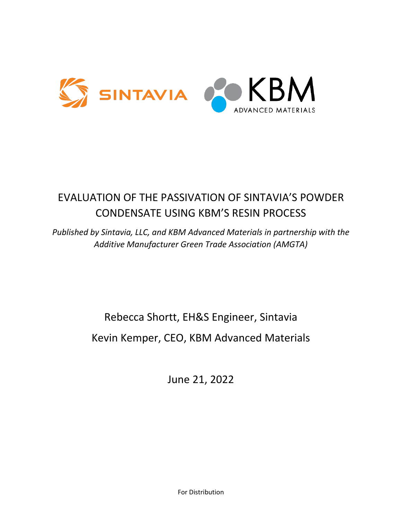

# EVALUATION OF THE PASSIVATION OF SINTAVIA'S POWDER CONDENSATE USING KBM'S RESIN PROCESS

*Published by Sintavia, LLC, and KBM Advanced Materials in partnership with the Additive Manufacturer Green Trade Association (AMGTA)* 

# Rebecca Shortt, EH&S Engineer, Sintavia Kevin Kemper, CEO, KBM Advanced Materials

June 21, 2022

For Distribution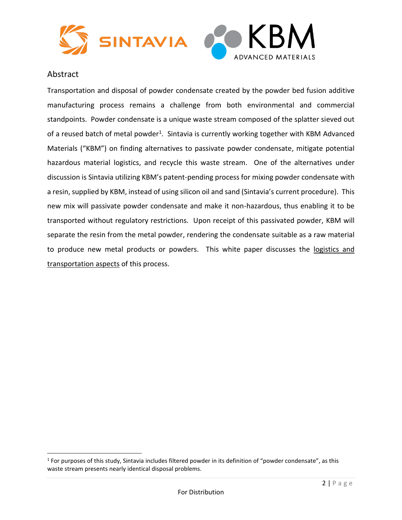

#### Abstract

Transportation and disposal of powder condensate created by the powder bed fusion additive manufacturing process remains a challenge from both environmental and commercial standpoints. Powder condensate is a unique waste stream composed of the splatter sieved out of a reused batch of metal powder<sup>1</sup>. Sintavia is currently working together with KBM Advanced Materials ("KBM") on finding alternatives to passivate powder condensate, mitigate potential hazardous material logistics, and recycle this waste stream. One of the alternatives under discussion is Sintavia utilizing KBM's patent-pending process for mixing powder condensate with a resin, supplied by KBM, instead of using silicon oil and sand (Sintavia's current procedure). This new mix will passivate powder condensate and make it non-hazardous, thus enabling it to be transported without regulatory restrictions. Upon receipt of this passivated powder, KBM will separate the resin from the metal powder, rendering the condensate suitable as a raw material to produce new metal products or powders. This white paper discusses the logistics and transportation aspects of this process.

 $1$  For purposes of this study, Sintavia includes filtered powder in its definition of "powder condensate", as this waste stream presents nearly identical disposal problems.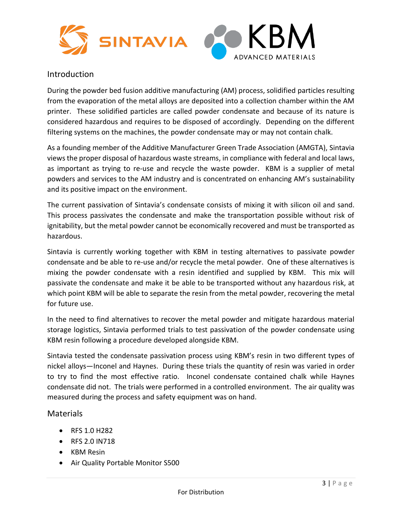

#### Introduction

During the powder bed fusion additive manufacturing (AM) process, solidified particles resulting from the evaporation of the metal alloys are deposited into a collection chamber within the AM printer. These solidified particles are called powder condensate and because of its nature is considered hazardous and requires to be disposed of accordingly. Depending on the different filtering systems on the machines, the powder condensate may or may not contain chalk.

As a founding member of the Additive Manufacturer Green Trade Association (AMGTA), Sintavia views the proper disposal of hazardous waste streams, in compliance with federal and local laws, as important as trying to re-use and recycle the waste powder. KBM is a supplier of metal powders and services to the AM industry and is concentrated on enhancing AM's sustainability and its positive impact on the environment.

The current passivation of Sintavia's condensate consists of mixing it with silicon oil and sand. This process passivates the condensate and make the transportation possible without risk of ignitability, but the metal powder cannot be economically recovered and must be transported as hazardous.

Sintavia is currently working together with KBM in testing alternatives to passivate powder condensate and be able to re-use and/or recycle the metal powder. One of these alternatives is mixing the powder condensate with a resin identified and supplied by KBM. This mix will passivate the condensate and make it be able to be transported without any hazardous risk, at which point KBM will be able to separate the resin from the metal powder, recovering the metal for future use.

In the need to find alternatives to recover the metal powder and mitigate hazardous material storage logistics, Sintavia performed trials to test passivation of the powder condensate using KBM resin following a procedure developed alongside KBM.

Sintavia tested the condensate passivation process using KBM's resin in two different types of nickel alloys—Inconel and Haynes. During these trials the quantity of resin was varied in order to try to find the most effective ratio. Inconel condensate contained chalk while Haynes condensate did not. The trials were performed in a controlled environment. The air quality was measured during the process and safety equipment was on hand.

#### **Materials**

- RFS 1.0 H282
- RFS 2.0 IN718
- KBM Resin
- Air Quality Portable Monitor S500